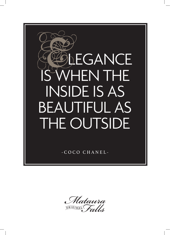

Mataura ORIGINAL FOLLS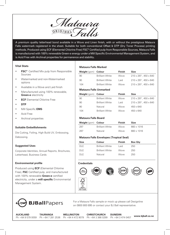Mataura ORIGINAL

A premium quality letterhead bond available in a Wove and Linen finish, with or without the prestigious Mataura Falls watermark registered in the sheet. Suitable for both conventional Offset & DTP (Dry Toner Process) printing methods. Produced using ECF (Elemental Chlorine Free) FSC® Certified pulp from Responsible Sources, Mataura Falls is manufactured with 100% renewable Green-e energy under a Mill Specific Environmental Management System, and is Acid Free with Archival properties for permanence and stability.

# **Vital Stats**

- **FSC®** Certified Mix pulp from Responsible Sources
- Watermarked and non-Watermarked options
- Available in a Wove and Laid finish
- Manufactured using 100% renewable, **Green-e** electricity
- **ECF** Elemental Chlorine Free
- **DTP**
- Mill Specific **EMS**
- Acid Free
- Archival properties

# **Suitable Embellishments**

Die Cutting, Foiling, High Build UV, Embossing, Debossing.

### **Suggested Uses**

Corporate Identities, Annual Reports, Brochures, Letterhead, Business Cards

# **Environmental profile**

Produced using **ECF** (Elemental Chlorine Free), **FSC** Certified pulp, and manufactured with 100% renewable **Green-e** certified electricity, under a **mill specific** Environmental Management System.

# **Mataura Falls Marked**

| <b>Weight</b> (gsm)           | <b>Colour</b>          | <b>Finish</b> | <b>Size</b>                         |
|-------------------------------|------------------------|---------------|-------------------------------------|
| 90                            | <b>Brilliant White</b> | Wove          | $210 \times 297$ , 450 $\times$ 640 |
| 90                            | <b>Brilliant White</b> | l aid         | $210 \times 297$ , 450 $\times$ 640 |
| 104                           | <b>Brilliant White</b> | Wove          | $210 \times 297$ , 450 $\times$ 640 |
| <b>Mataura Falls Unmarked</b> |                        |               |                                     |
| <b>Weight</b> (gsm)           | Colour                 | Finish        | Size                                |

| <b>THE HULL</b> |                        | .    | $\cdots$                            |
|-----------------|------------------------|------|-------------------------------------|
| 90              | <b>Brilliant White</b> | Wove | $210 \times 297$ , 450 $\times$ 640 |
| 90              | <b>Brilliant White</b> | Laid | $210 \times 297$ , 450 $\times$ 640 |
| 90              | Natural                | Wove | $450 \times 640$                    |
| 104             | <b>Brilliant White</b> | Wove | $450 \times 640$                    |

# **Mataura Falls Board**

| Weight (gsm) Colour |                        | <b>Finish</b> | Size       |
|---------------------|------------------------|---------------|------------|
| 297                 | <b>Brilliant White</b> | <b>Wove</b>   | 660 x 1016 |
| 297                 | Natural                | <b>Wove</b>   | 660 x 1016 |

# **Mataura Falls Envelopes (Tropical Seal)**

| <b>Size</b> | Colour                 | <b>Finish</b> | <b>Box Qty</b> |
|-------------|------------------------|---------------|----------------|
| DI F        | <b>Brilliant White</b> | l aid         | 250            |
| DIF         | <b>Brilliant White</b> | Wove          | 250            |
| DI F        | Natural                | Wove          | 250            |

# **Credentials**











**AUCKLAND**

**TAURANGA**

**BJBall**Papers

**WELLINGTON**

Ph +64 9 579 0059 Ph +64 7 281 2536 Ph +64 4 472 9079 Ph +64 3 366 0299 **CHRISTCHURCH**

**DUNEDIN** Ph +64 3 474 0457 **www.bjball.co.nz**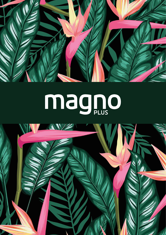

# magno

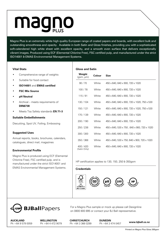# magno

Magno Plus is an extremely white high quality European range of coated papers and boards, with excellent bulk and outstanding smoothness and opacity. Available in both Satin and Gloss finishes, providing you with a sophisticated soft-calendered high white sheet with excellent opacity, and a smooth even surface that delivers exceptionally vibrant images. Produced using ECF (Elemental Chlorine Free), FSC certified pulp, and manufactured under the strict ISO14001 & EMAS Environmental Management Systems.

**Gloss and Satin**

# **Vital Stats**

- Comprehensive range of weights
- Suitable for food contact
- **ISO14001** and **EMAS certified**
- **FSC Mix Source**
- **pH Neutral**
- Archival meets requirements of **DIN6738**
- Meets Toy Safety standards **EN 71-3**

# **Suitable Embellishments**

Diecutting, Spot UV, Foiling, Embossing

# **Suggested Uses**

Annual reports, books, brochures, calendars, catalogues, direct mail, magazines

# **Environmental Profile**

Magno Plus is produced using ECF (Elemental Chlorine Free), FSC certified pulp, and is manufactured under the strict ISO14001 and EMAS Environmental Management Systems.

| ווווסט שוום ככטוט       |        |                                             |
|-------------------------|--------|---------------------------------------------|
| Weight<br>(gsm, µm)     | Colour | Size                                        |
| 90/70                   | White  | 450 x 640, 640 x 900, 720 x 1020            |
| 100/78                  | White  | 450 x 640, 640 x 900, 720 x 1020            |
| 115/91                  | White  | 450 x 640, 640 x 900, 720 x 1020            |
| 130 / 104               | White  | 450 x 640, 640 x 900, 720 x 1020, 750 x 530 |
| 150 / 121               | White  | 450 x 640, 640 x 900, 720 x 1020, 750 x 530 |
| 170 / 139               | White  | 450 x 640, 640 x 900, 720 x 1020            |
| 200 / 190               | White  | 450 x 640, 640 x 900, 720 x 1020            |
| 250 / 238               | White  | 450 x 640, 530 x 750, 640 x 900, 720 x 1020 |
| 300 / 300               | White  | 450 x 640, 640 x 900, 720 x 1020            |
| 350 / 368               | White  | 450 x 640, 530 x 750, 640 x 900, 720 x 1020 |
| 400/420<br>(Satin Only) | White  | 450 x 640, 640 x 900, 720 x 1020            |

HP certification applies to 130, 150, 250 & 350gsm

#### **Credentials**





**AUCKLAND** Ph +64 9 579 0059

**WELLINGTON** Ph +64 4 472 9079 **CHRISTCHURCH** Ph +64 3 366 0299

**DUNEDIN** Ph +64 3 474 0457 **www.bjball.co.nz**

For a Magno Plus sample or mock up please call Designline on 0800 800 895 or contact your BJ Ball representative.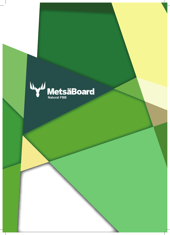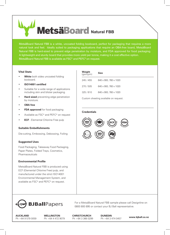# Metsä**Board** Natural FBB

MetsäBoard Natural FBB is a white, uncoated folding boxboard, perfect for packaging that requires a more natural look and feel. Ideally suited to packaging applications that require an OBA-free board, MetsäBoard Natural FBB is hard-sized to prevent edge penetration by moisture, and FDA approved for food packaging. A lightweight and sturdy board that provides more yield per tonne, making it a cost effective option. MetsäBoard Natural FBB is available as FSC® and PEFC® on request.

# **Vital Stats**

- **White** both sides uncoated folding boxboard.
- **ISO14001 certified**
- Suitable for a wide range of applications including skin and blister packaging.
- **Hard sized** preventing edge penetration by moisture.
- **OBA free**
- **FDA approved** for food packaging
- Available as FSC® and PEFC® on request
- **ECF**  Elemental Chlorine Free pulp

# **Suitable Embellishments**

Die-cutting, Embossing, Debossing, Foiling

# **Suggested Uses**

Food Packaging, Takeaway Food Packaging, Paper Plates, Folded Trays, Cosmetics, Pharmaceuticals

# **Environmental Profile**

MetsäBoard Natural FBB is produced using ECF (Elemental Chlorine Free) pulp, and manufactured under the strict ISO14001 Environmental Management System, and available as FSC® and PEFC® on request.

| Weight<br>$(g\sin/\mu m)$ | Size                                  |
|---------------------------|---------------------------------------|
| 245 / 455                 | 640 x 900, 760 x 1020                 |
| 270/505                   | 640 x 900, 760 x 1020                 |
| 325/610                   | 640 x 900, 760 x 1020                 |
|                           | Custom sheeting available on request. |

# **Credentials**





For a MetsäBoard Natural FBB sample please call Designline on 0800 800 895 or contact your BJ Ball representative.

**AUCKLAND** Ph +64 9 579 0059 **WELLINGTON** Ph +64 4 472 9079 **CHRISTCHURCH** Ph +64 3 366 0299 **DUNEDIN** Ph +64 3 474 0457 **www.bjball.co.nz**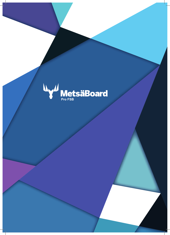